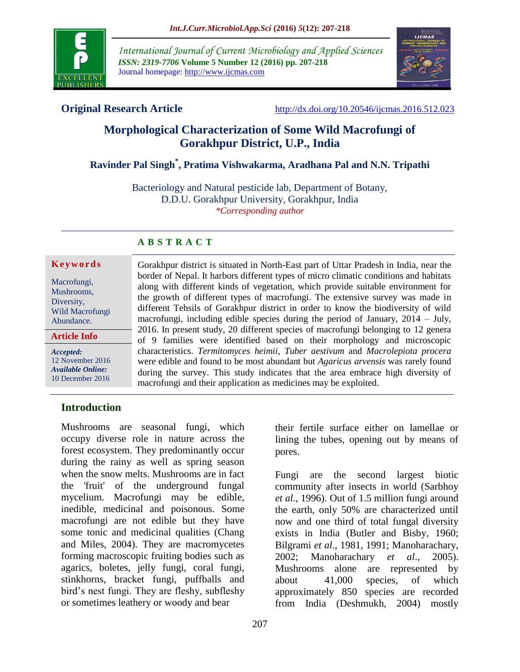

*International Journal of Current Microbiology and Applied Sciences ISSN: 2319-7706* **Volume 5 Number 12 (2016) pp. 207-218** Journal homepage: http://www.ijcmas.com



**Original Research Article** <http://dx.doi.org/10.20546/ijcmas.2016.512.023>

# **Morphological Characterization of Some Wild Macrofungi of Gorakhpur District, U.P., India**

# **Ravinder Pal Singh\* , Pratima Vishwakarma, Aradhana Pal and N.N. Tripathi**

Bacteriology and Natural pesticide lab, Department of Botany, D.D.U. Gorakhpur University, Gorakhpur, India *\*Corresponding author*

## **A B S T R A C T**

#### **K e y w o r d s**

| <b>Article Info</b> |
|---------------------|
| Abundance.          |
| Wild Macrofungi     |
| Diversity,          |
| Mushrooms,          |
| Macrofungi,         |
|                     |

*Accepted:*  12 November 2016 *Available Online:* 10 December 2016

Gorakhpur district is situated in North-East part of Uttar Pradesh in India, near the border of Nepal. It harbors different types of micro climatic conditions and habitats along with different kinds of vegetation, which provide suitable environment for the growth of different types of macrofungi. The extensive survey was made in different Tehsils of Gorakhpur district in order to know the biodiversity of wild macrofungi, including edible species during the period of January, 2014 – July, 2016. In present study, 20 different species of macrofungi belonging to 12 genera of 9 families were identified based on their morphology and microscopic characteristics. *Termitomyces heimii*, *Tuber aestivum* and *Macrolepiota procera*  were edible and found to be most abundant but *Agaricus arvensis* was rarely found during the survey. This study indicates that the area embrace high diversity of macrofungi and their application as medicines may be exploited.

# **Introduction**

Mushrooms are seasonal fungi, which occupy diverse role in nature across the forest ecosystem. They predominantly occur during the rainy as well as spring season when the snow melts. Mushrooms are in fact the 'fruit' of the underground fungal mycelium. Macrofungi may be edible, inedible, medicinal and poisonous. Some macrofungi are not edible but they have some tonic and medicinal qualities (Chang and Miles, 2004). They are macromycetes forming macroscopic fruiting bodies such as agarics, boletes, jelly fungi, coral fungi, stinkhorns, bracket fungi, puffballs and bird's nest fungi. They are fleshy, subfleshy or sometimes leathery or woody and bear

their fertile surface either on lamellae or lining the tubes, opening out by means of pores.

Fungi are the second largest biotic community after insects in world (Sarbhoy *et al.,* 1996). Out of 1.5 million fungi around the earth, only 50% are characterized until now and one third of total fungal diversity exists in India (Butler and Bisby, 1960; Bilgrami *et al*., 1981, 1991; Manoharachary, 2002; Manoharachary *et al*., 2005). Mushrooms alone are represented by about 41,000 species, of which approximately 850 species are recorded from India (Deshmukh, 2004) mostly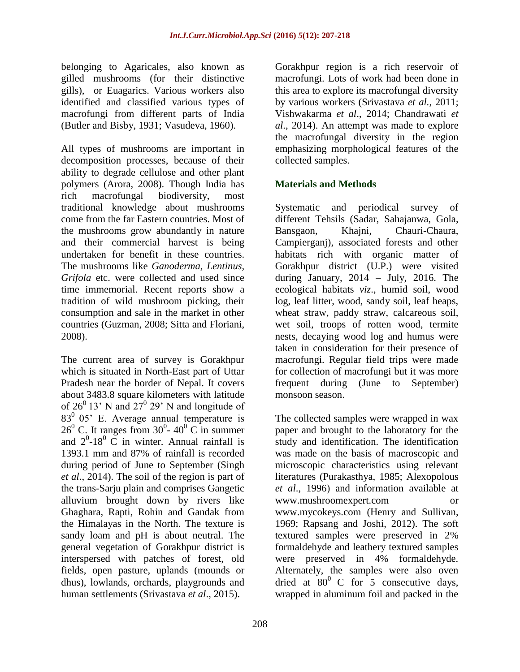belonging to Agaricales, also known as gilled mushrooms (for their distinctive gills), or Euagarics. Various workers also identified and classified various types of macrofungi from different parts of India (Butler and Bisby, 1931; Vasudeva, 1960).

All types of mushrooms are important in decomposition processes, because of their ability to degrade cellulose and other plant polymers (Arora, 2008). Though India has rich macrofungal biodiversity, most traditional knowledge about mushrooms come from the far Eastern countries. Most of the mushrooms grow abundantly in nature and their commercial harvest is being undertaken for benefit in these countries. The mushrooms like *Ganoderma, Lentinus, Grifola* etc. were collected and used since time immemorial. Recent reports show a tradition of wild mushroom picking, their consumption and sale in the market in other countries (Guzman, 2008; Sitta and Floriani, 2008).

The current area of survey is Gorakhpur which is situated in North-East part of Uttar Pradesh near the border of Nepal. It covers about 3483.8 square kilometers with latitude of  $26^{\circ}$  13' N and  $27^{\circ}$  29' N and longitude of  $83^0$  05' E. Average annual temperature is  $26^{\circ}$  C. It ranges from 30<sup>°</sup>-40<sup>°</sup> C in summer and  $2^0$ -18<sup>0</sup> C in winter. Annual rainfall is 1393.1 mm and 87% of rainfall is recorded during period of June to September (Singh *et al*., 2014). The soil of the region is part of the trans-Sarju plain and comprises Gangetic alluvium brought down by rivers like Ghaghara, Rapti, Rohin and Gandak from the Himalayas in the North. The texture is sandy loam and pH is about neutral. The general vegetation of Gorakhpur district is interspersed with patches of forest, old fields, open pasture, uplands (mounds or dhus), lowlands, orchards, playgrounds and human settlements (Srivastava *et al*., 2015).

Gorakhpur region is a rich reservoir of macrofungi. Lots of work had been done in this area to explore its macrofungal diversity by various workers (Srivastava *et al.,* 2011; Vishwakarma *et al*., 2014; Chandrawati *et al*., 2014). An attempt was made to explore the macrofungal diversity in the region emphasizing morphological features of the collected samples.

## **Materials and Methods**

Systematic and periodical survey of different Tehsils (Sadar, Sahajanwa, Gola, Bansgaon, Khajni, Chauri-Chaura, Campierganj), associated forests and other habitats rich with organic matter of Gorakhpur district (U.P.) were visited during January, 2014 – July, 2016. The ecological habitats *viz*., humid soil, wood log, leaf litter, wood, sandy soil, leaf heaps, wheat straw, paddy straw, calcareous soil, wet soil, troops of rotten wood, termite nests, decaying wood log and humus were taken in consideration for their presence of macrofungi. Regular field trips were made for collection of macrofungi but it was more frequent during (June to September) monsoon season.

The collected samples were wrapped in wax paper and brought to the laboratory for the study and identification. The identification was made on the basis of macroscopic and microscopic characteristics using relevant literatures (Purakasthya, 1985; Alexopolous *et al*., 1996) and information available at [www.mushroome](http://www.mushroom/)xpert.com or [www.mycokeys.com](http://www.mycokeys.com/) (Henry and Sullivan, 1969; Rapsang and Joshi, 2012). The soft textured samples were preserved in 2% formaldehyde and leathery textured samples were preserved in 4% formaldehyde. Alternately, the samples were also oven dried at  $80^{\circ}$  C for 5 consecutive days, wrapped in aluminum foil and packed in the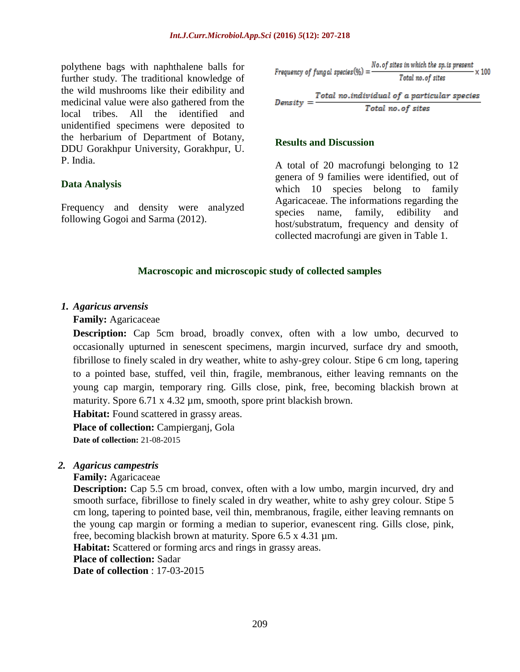polythene bags with naphthalene balls for further study. The traditional knowledge of the wild mushrooms like their edibility and medicinal value were also gathered from the local tribes. All the identified and unidentified specimens were deposited to the herbarium of Department of Botany, DDU Gorakhpur University, Gorakhpur, U. P. India.

#### **Data Analysis**

Frequency and density were analyzed following Gogoi and Sarma (2012).

Frequency of fungal species (
$$
\%
$$
) =  $\frac{No. of sites in which the sp. is present}{Total no. of sites} \times 100$ 

Total no.individual of a particular species  $Density =$ Total no. of sites

#### **Results and Discussion**

A total of 20 macrofungi belonging to 12 genera of 9 families were identified, out of which 10 species belong to family Agaricaceae. The informations regarding the species name, family, edibility and host/substratum, frequency and density of collected macrofungi are given in Table 1.

#### **Macroscopic and microscopic study of collected samples**

#### *1. Agaricus arvensis*

**Family:** [Agaricaceae](http://www.lightscapes.info/onewithnature/natures-garden/fungi/agaricaceae/)

**Description:** Cap 5cm broad, broadly convex, often with a low umbo, decurved to occasionally upturned in senescent specimens, margin incurved, surface dry and smooth, fibrillose to finely scaled in dry weather, white to ashy-grey colour. Stipe 6 cm long, tapering to a pointed base, stuffed, veil thin, fragile, membranous, either leaving remnants on the young cap margin, temporary ring. Gills close, pink, free, becoming blackish brown at maturity. Spore 6.71 x 4.32 µm, smooth, spore print blackish brown.

**Habitat:** Found scattered in grassy areas.

Place of collection: Campierganj, Gola **Date of collection:** 21-08-2015

#### *2. Agaricus campestris*

**Family:** [Agaricaceae](http://www.lightscapes.info/onewithnature/natures-garden/fungi/agaricaceae/)

**Description:** Cap 5.5 cm broad, convex, often with a low umbo, margin incurved, dry and smooth surface, fibrillose to finely scaled in dry weather, white to ashy grey colour. Stipe 5 cm long, tapering to pointed base, veil thin, membranous, fragile, either leaving remnants on the young cap margin or forming a median to superior, evanescent ring. Gills close, pink, free, becoming blackish brown at maturity. Spore 6.5 x 4.31 µm.

**Habitat:** Scattered or forming arcs and rings in grassy areas.

**Place of collection:** Sadar

**Date of collection** : 17-03-2015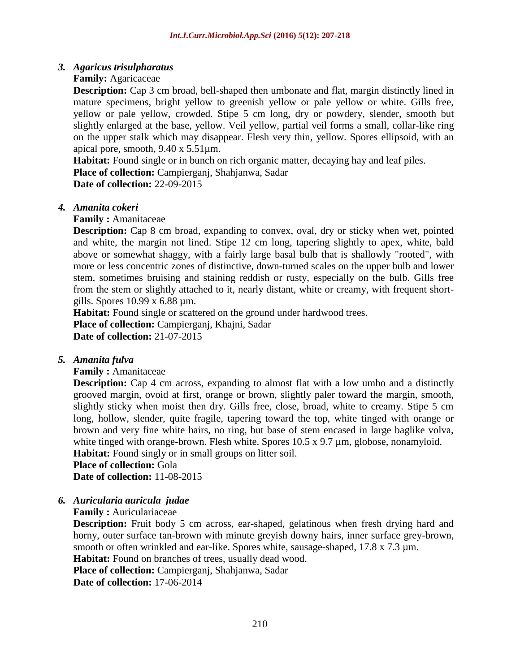## *3. Agaricus trisulpharatus*

## **Family:** [Agaricaceae](http://www.lightscapes.info/onewithnature/natures-garden/fungi/agaricaceae/)

**Description:** Cap 3 cm broad, bell-shaped then umbonate and flat, margin distinctly lined in mature specimens, bright yellow to greenish yellow or pale yellow or white. Gills free, yellow or pale yellow, crowded. Stipe 5 cm long, dry or powdery, slender, smooth but slightly enlarged at the base, yellow. Veil yellow, partial veil forms a small, collar-like ring on the upper stalk which may disappear. Flesh very thin, yellow. Spores ellipsoid, with an apical pore, smooth, 9.40 x 5.51µm.

**Habitat:** Found single or in bunch on rich organic matter, decaying hay and leaf piles. **Place of collection:** Campierganj, Shahjanwa, Sadar

**Date of collection:** 22-09-2015

## *4. Amanita cokeri*

## **Family : Amanitaceae**

**Description:** Cap 8 cm broad, expanding to convex, oval, dry or sticky when wet, pointed and white, the margin not lined. Stipe 12 cm long, tapering slightly to apex, white, bald above or somewhat shaggy, with a fairly large basal bulb that is shallowly "rooted", with more or less concentric zones of distinctive, down-turned scales on the upper bulb and lower stem, sometimes bruising and staining reddish or rusty, especially on the bulb. Gills free from the stem or slightly attached to it, nearly distant, white or creamy, with frequent shortgills. Spores 10.99 x 6.88 µm.

**Habitat:** Found single or scattered on the ground under hardwood trees. Place of collection: Campierganj, Khajni, Sadar **Date of collection:** 21-07-2015

## *5. Amanita fulva*

**Family :** Amanitaceae

**Description:** Cap 4 cm across, expanding to almost flat with a low umbo and a distinctly grooved margin, ovoid at first, orange or brown, slightly paler toward the margin, smooth, slightly sticky when moist then dry. Gills free, close, broad, white to creamy. Stipe 5 cm long, hollow, slender, quite fragile, tapering toward the top, white tinged with orange or brown and very fine white hairs, no ring, but base of stem encased in large baglike volva, white tinged with orange-brown. Flesh white. Spores 10.5 x 9.7  $\mu$ m, globose, nonamyloid. **Habitat:** Found singly or in small groups on litter soil.

**Place of collection:** Gola

**Date of collection:** 11-08-2015

*6. Auricularia auricula judae*

**Family :** Auriculariaceae

**Description:** Fruit body 5 cm across, ear-shaped, gelatinous when fresh drying hard and horny, outer surface tan-brown with minute greyish downy hairs, inner surface grey-brown, smooth or often wrinkled and ear-like. Spores white, sausage-shaped, 17.8 x 7.3  $\mu$ m.

Habitat: Found on branches of trees, usually dead wood.

**Place of collection:** Campierganj, Shahjanwa, Sadar

**Date of collection:** 17-06-2014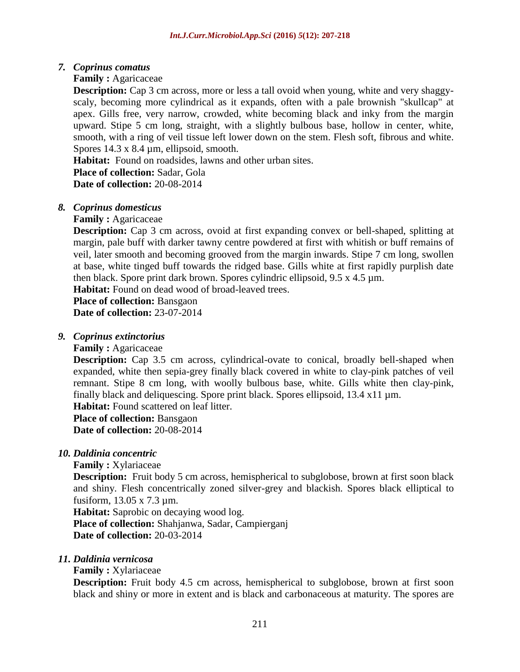## *7. Coprinus comatus*

## **Family :** [Agaricaceae](https://en.wikipedia.org/wiki/Agaricaceae)

**Description:** Cap 3 cm across, more or less a tall ovoid when young, white and very shaggyscaly, becoming more cylindrical as it expands, often with a pale brownish "skullcap" at apex. Gills free, very narrow, crowded, white becoming black and inky from the margin upward. Stipe 5 cm long, straight, with a slightly bulbous base, hollow in center, white, smooth, with a ring of veil tissue left lower down on the stem. Flesh soft, fibrous and white. Spores 14.3 x 8.4 µm, ellipsoid, smooth.

**Habitat:** Found on roadsides, lawns and other urban sites. **Place of collection:** Sadar, Gola **Date of collection:** 20-08-2014

## *8. Coprinus domesticus*

## **Family :** [Agaricaceae](https://en.wikipedia.org/wiki/Agaricaceae)

**Description:** Cap 3 cm across, ovoid at first expanding convex or bell-shaped, splitting at margin, pale buff with darker tawny centre powdered at first with whitish or buff remains of veil, later smooth and becoming grooved from the margin inwards. Stipe 7 cm long, swollen at base, white tinged buff towards the ridged base. Gills white at first rapidly purplish date then black. Spore print dark brown. Spores cylindric ellipsoid, 9.5 x 4.5 µm.

Habitat: Found on dead wood of broad-leaved trees.

**Place of collection:** Bansgaon **Date of collection:** 23-07-2014

## *9. Coprinus extinctorius*

## **Family :** [Agaricaceae](https://en.wikipedia.org/wiki/Agaricaceae)

**Description:** Cap 3.5 cm across, cylindrical-ovate to conical, broadly bell-shaped when expanded, white then sepia-grey finally black covered in white to clay-pink patches of veil remnant. Stipe 8 cm long, with woolly bulbous base, white. Gills white then clay-pink, finally black and deliquescing. Spore print black. Spores ellipsoid, 13.4 x11 µm.

**Habitat:** Found scattered on leaf litter.

**Place of collection:** Bansgaon

**Date of collection:** 20-08-2014

## *10. Daldinia concentric*

## **Family :** Xylariaceae

**Description:** Fruit body 5 cm across, hemispherical to subglobose, brown at first soon black and shiny. Flesh concentrically zoned silver-grey and blackish. Spores black elliptical to fusiform, 13.05 x 7.3 µm.

**Habitat:** Saprobic on decaying wood log.

**Place of collection:** Shahjanwa, Sadar, Campierganj **Date of collection:** 20-03-2014

## *11. Daldinia vernicosa*

## **Family :** Xylariaceae

**Description:** Fruit body 4.5 cm across, hemispherical to subglobose, brown at first soon black and shiny or more in extent and is black and carbonaceous at maturity. The spores are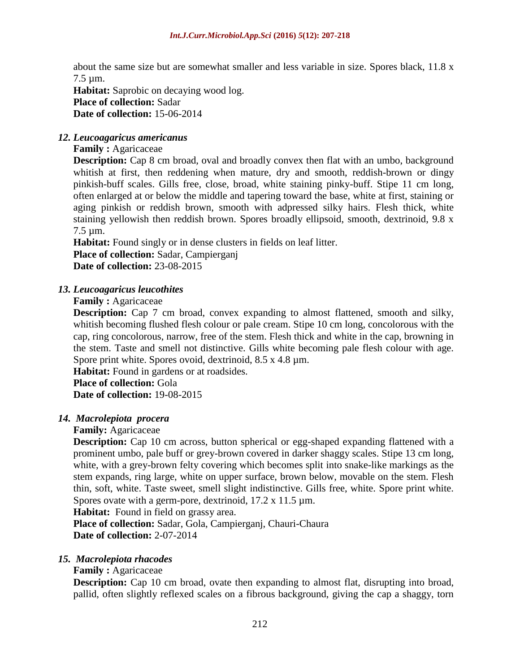about the same size but are somewhat smaller and less variable in size. Spores black, 11.8 x 7.5 µm.

**Habitat:** Saprobic on decaying wood log. **Place of collection:** Sadar **Date of collection:** 15-06-2014

## *12. Leucoagaricus americanus*

**Family :** [Agaricaceae](https://en.wikipedia.org/wiki/Agaricaceae)

**Description:** Cap 8 cm broad, oval and broadly convex then flat with an umbo, background whitish at first, then reddening when mature, dry and smooth, reddish-brown or dingy pinkish-buff scales. Gills free, close, broad, white staining pinky-buff. Stipe 11 cm long, often enlarged at or below the middle and tapering toward the base, white at first, staining or aging pinkish or reddish brown, smooth with adpressed silky hairs. Flesh thick, white staining yellowish then reddish brown. Spores broadly ellipsoid, smooth, dextrinoid, 9.8 x 7.5 µm.

**Habitat:** Found singly or in dense clusters in fields on leaf litter.

**Place of collection:** Sadar, Campierganj **Date of collection:** 23-08-2015

## *13. Leucoagaricus leucothites*

**Family : [Agaricaceae](https://en.wikipedia.org/wiki/Agaricaceae)** 

**Description:** Cap 7 cm broad, convex expanding to almost flattened, smooth and silky, whitish becoming flushed flesh colour or pale cream. Stipe 10 cm long, concolorous with the cap, ring concolorous, narrow, free of the stem. Flesh thick and white in the cap, browning in the stem. Taste and smell not distinctive. Gills white becoming pale flesh colour with age. Spore print white. Spores ovoid, dextrinoid,  $8.5 \times 4.8 \mu m$ .

**Habitat:** Found in gardens or at roadsides.

**Place of collection:** Gola **Date of collection:** 19-08-2015

## *14. Macrolepiota procera*

#### **Family:** [Agaricaceae](https://en.wikipedia.org/wiki/Agaricaceae)

**Description:** Cap 10 cm across, button spherical or egg-shaped expanding flattened with a prominent umbo, pale buff or grey-brown covered in darker shaggy scales. Stipe 13 cm long, white, with a grey-brown felty covering which becomes split into snake-like markings as the stem expands, ring large, white on upper surface, brown below, movable on the stem. Flesh thin, soft, white. Taste sweet, smell slight indistinctive. Gills free, white. Spore print white. Spores ovate with a germ-pore, dextrinoid,  $17.2 \times 11.5 \text{ µm}$ .

**Habitat:** Found in field on grassy area.

**Place of collection:** Sadar, Gola, Campierganj, Chauri-Chaura **Date of collection:** 2-07-2014

#### *15. Macrolepiota rhacodes*

## **Family :** [Agaricaceae](https://en.wikipedia.org/wiki/Agaricaceae)

**Description:** Cap 10 cm broad, ovate then expanding to almost flat, disrupting into broad, pallid, often slightly reflexed scales on a fibrous background, giving the cap a shaggy, torn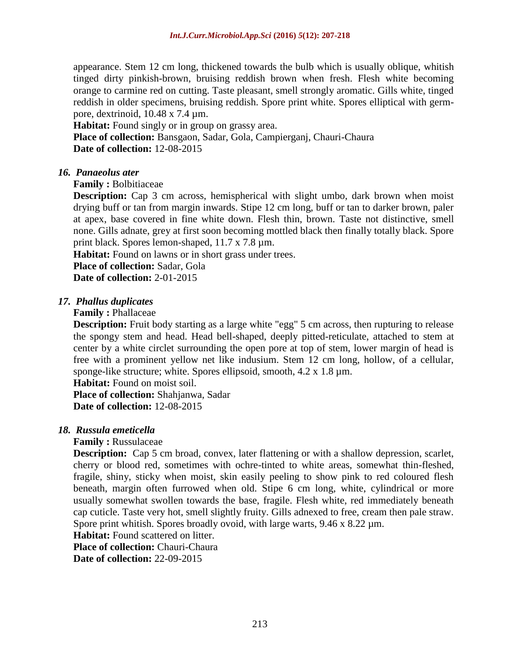appearance. Stem 12 cm long, thickened towards the bulb which is usually oblique, whitish tinged dirty pinkish-brown, bruising reddish brown when fresh. Flesh white becoming orange to carmine red on cutting. Taste pleasant, smell strongly aromatic. Gills white, tinged reddish in older specimens, bruising reddish. Spore print white. Spores elliptical with germpore, dextrinoid, 10.48 x 7.4 µm.

**Habitat:** Found singly or in group on grassy area.

**Place of collection:** Bansgaon, Sadar, Gola, Campierganj, Chauri-Chaura **Date of collection:** 12-08-2015

#### *16. Panaeolus ater*

**Family :** Bolbitiaceae

**Description:** Cap 3 cm across, hemispherical with slight umbo, dark brown when moist drying buff or tan from margin inwards. Stipe 12 cm long, buff or tan to darker brown, paler at apex, base covered in fine white down. Flesh thin, brown. Taste not distinctive, smell none. Gills adnate, grey at first soon becoming mottled black then finally totally black. Spore print black. Spores lemon-shaped, 11.7 x 7.8 µm.

**Habitat:** Found on lawns or in short grass under trees.

**Place of collection:** Sadar, Gola

**Date of collection:** 2-01-2015

#### *17. Phallus duplicates*

#### **Family :** Phallaceae

**Description:** Fruit body starting as a large white "egg" 5 cm across, then rupturing to release the spongy stem and head. Head bell-shaped, deeply pitted-reticulate, attached to stem at center by a white circlet surrounding the open pore at top of stem, lower margin of head is free with a prominent yellow net like indusium. Stem 12 cm long, hollow, of a cellular, sponge-like structure; white. Spores ellipsoid, smooth, 4.2 x 1.8 µm.

**Habitat:** Found on moist soil. **Place of collection:** Shahjanwa, Sadar **Date of collection:** 12-08-2015

#### *18. Russula emeticella*

#### **Family :** [Russulaceae](https://data.nbn.org.uk/Taxa/NHMSYS0001496943)

**Description:** Cap 5 cm broad, convex, later flattening or with a shallow depression, scarlet, cherry or blood red, sometimes with ochre-tinted to white areas, somewhat thin-fleshed, fragile, shiny, sticky when moist, skin easily peeling to show pink to red coloured flesh beneath, margin often furrowed when old. Stipe 6 cm long, white, cylindrical or more usually somewhat swollen towards the base, fragile. Flesh white, red immediately beneath cap cuticle. Taste very hot, smell slightly fruity. Gills adnexed to free, cream then pale straw. Spore print whitish. Spores broadly ovoid, with large warts, 9.46 x 8.22  $\mu$ m.

**Habitat:** Found scattered on litter.

**Place of collection: Chauri-Chaura Date of collection:** 22-09-2015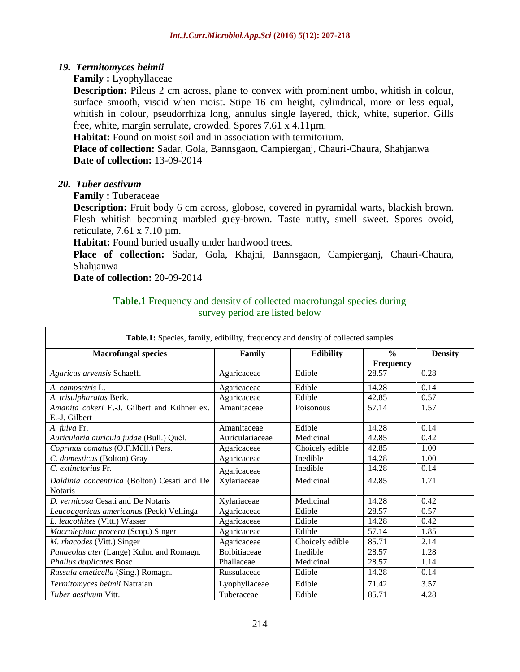#### *19. Termitomyces heimii*

**Family :** Lyophyllaceae

**Description:** Pileus 2 cm across, plane to convex with prominent umbo, whitish in colour, surface smooth, viscid when moist. Stipe 16 cm height, cylindrical, more or less equal, whitish in colour, pseudorrhiza long, annulus single layered, thick, white, superior. Gills free, white, margin serrulate, crowded. Spores 7.61 x 4.11µm.

**Habitat:** Found on moist soil and in association with termitorium.

**Place of collection:** Sadar, Gola, Bannsgaon, Campierganj, Chauri-Chaura, Shahjanwa **Date of collection:** 13-09-2014

#### *20. Tuber aestivum*

**Family :** Tuberaceae

**Description:** Fruit body 6 cm across, globose, covered in pyramidal warts, blackish brown. Flesh whitish becoming marbled grey-brown. Taste nutty, smell sweet. Spores ovoid, reticulate, 7.61 x 7.10 µm.

Habitat: Found buried usually under hardwood trees.

**Place of collection:** Sadar, Gola, Khajni, Bannsgaon, Campierganj, Chauri-Chaura, Shahjanwa

**Date of collection:** 20-09-2014

#### **Table.1** Frequency and density of collected macrofungal species during survey period are listed below

| Table.1: Species, family, edibility, frequency and density of collected samples |                     |                  |                  |                |  |
|---------------------------------------------------------------------------------|---------------------|------------------|------------------|----------------|--|
| <b>Macrofungal species</b>                                                      | Family              | <b>Edibility</b> | $\frac{0}{0}$    | <b>Density</b> |  |
|                                                                                 |                     |                  | <b>Frequency</b> |                |  |
| Agaricus arvensis Schaeff.                                                      | Agaricaceae         | Edible           | 28.57            | 0.28           |  |
| A. campsetris L.                                                                | Agaricaceae         | Edible           | 14.28            | 0.14           |  |
| A. trisulpharatus Berk.                                                         | Agaricaceae         | Edible           | 42.85            | 0.57           |  |
| Amanita cokeri E.-J. Gilbert and Kühner ex.                                     | Amanitaceae         | Poisonous        | 57.14            | 1.57           |  |
| E.-J. Gilbert                                                                   |                     |                  |                  |                |  |
| A. fulva Fr.                                                                    | Amanitaceae         | Edible           | 14.28            | 0.14           |  |
| Auricularia auricula judae (Bull.) Quẻl.                                        | Auriculariaceae     | Medicinal        | 42.85            | 0.42           |  |
| Coprinus comatus (O.F.Müll.) Pers.                                              | Agaricaceae         | Choicely edible  | 42.85            | 1.00           |  |
| C. domesticus (Bolton) Gray                                                     | Agaricaceae         | Inedible         | 14.28            | 1.00           |  |
| C. extinctorius Fr.                                                             | Agaricaceae         | Inedible         | 14.28            | 0.14           |  |
| Daldinia concentrica (Bolton) Cesati and De                                     | Xylariaceae         | Medicinal        | 42.85            | 1.71           |  |
| <b>Notaris</b>                                                                  |                     |                  |                  |                |  |
| D. vernicosa Cesati and De Notaris                                              | Xylariaceae         | Medicinal        | 14.28            | 0.42           |  |
| Leucoagaricus americanus (Peck) Vellinga                                        | Agaricaceae         | Edible           | 28.57            | 0.57           |  |
| L. leucothites (Vitt.) Wasser                                                   | Agaricaceae         | Edible           | 14.28            | 0.42           |  |
| Macrolepiota procera (Scop.) Singer                                             | Agaricaceae         | Edible           | 57.14            | 1.85           |  |
| M. rhacodes (Vitt.) Singer                                                      | Agaricaceae         | Choicely edible  | 85.71            | 2.14           |  |
| Panaeolus ater (Lange) Kuhn. and Romagn.                                        | <b>Bolbitiaceae</b> | Inedible         | 28.57            | 1.28           |  |
| Phallus duplicates Bosc                                                         | Phallaceae          | Medicinal        | 28.57            | 1.14           |  |
| Russula emeticella (Sing.) Romagn.                                              | Russulaceae         | Edible           | 14.28            | 0.14           |  |
| Termitomyces heimii Natrajan                                                    | Lyophyllaceae       | Edible           | 71.42            | 3.57           |  |
| <i>Tuber aestivum Vitt.</i>                                                     | Tuberaceae          | Edible           | 85.71            | 4.28           |  |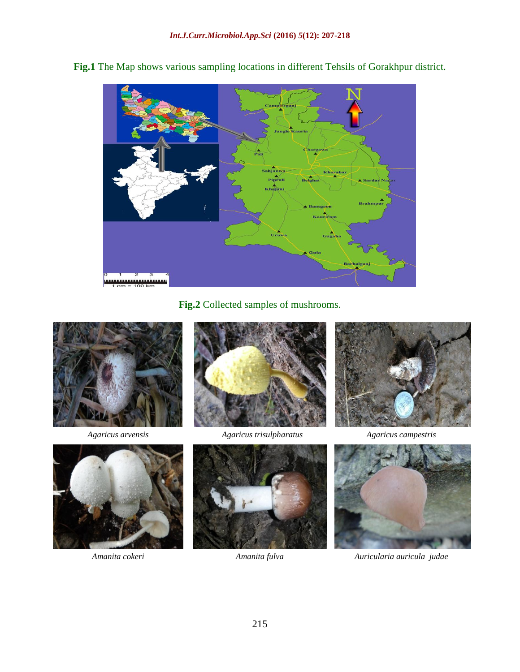

**Fig.1** The Map shows various sampling locations in different Tehsils of Gorakhpur district.

**Fig.2** Collected samples of mushrooms.





*Agaricus arvensis Agaricus trisulpharatus Agaricus campestris*









*Amanita cokeri Amanita fulva Auricularia auricula judae*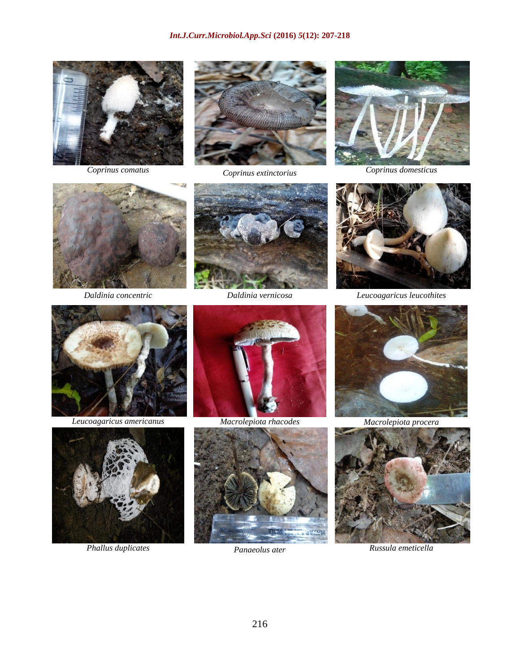











*Daldinia concentric Daldinia vernicosa Leucoagaricus leucothites*



*Leucoagaricus americanus Macrolepiota rhacodes Macrolepiota procera*











*Phallus duplicates Panaeolus ater Russula emeticella*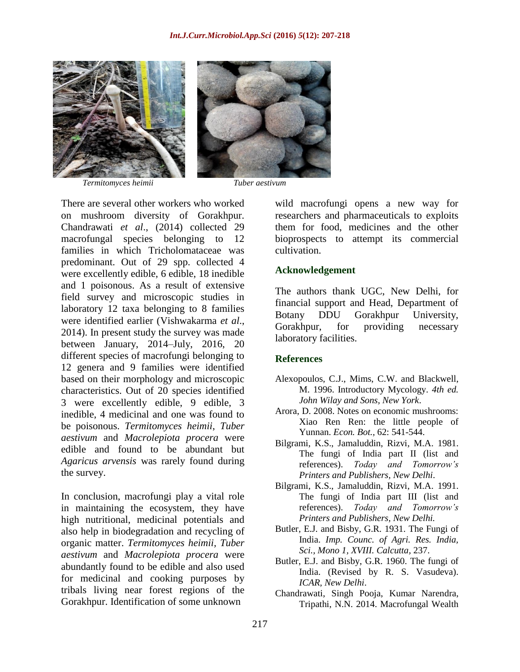

*Termitomyces heimii Tuber aestivum*



There are several other workers who worked on mushroom diversity of Gorakhpur. Chandrawati *et al*., (2014) collected 29 macrofungal species belonging to 12 families in which Tricholomataceae was predominant. Out of 29 spp. collected 4 were excellently edible, 6 edible, 18 inedible and 1 poisonous. As a result of extensive field survey and microscopic studies in laboratory 12 taxa belonging to 8 families were identified earlier (Vishwakarma *et al*., 2014). In present study the survey was made between January, 2014–July, 2016, 20 different species of macrofungi belonging to 12 genera and 9 families were identified based on their morphology and microscopic characteristics. Out of 20 species identified 3 were excellently edible, 9 edible, 3 inedible, 4 medicinal and one was found to be poisonous. *Termitomyces heimii*, *Tuber aestivum* and *Macrolepiota procera* were edible and found to be abundant but *Agaricus arvensis* was rarely found during the survey.

In conclusion, macrofungi play a vital role in maintaining the ecosystem, they have high nutritional, medicinal potentials and also help in biodegradation and recycling of organic matter. *Termitomyces heimii, Tuber aestivum* and *Macrolepiota procera* were abundantly found to be edible and also used for medicinal and cooking purposes by tribals living near forest regions of the Gorakhpur. Identification of some unknown

wild macrofungi opens a new way for researchers and pharmaceuticals to exploits them for food, medicines and the other bioprospects to attempt its commercial cultivation.

#### **Acknowledgement**

The authors thank UGC, New Delhi, for financial support and Head, Department of Botany DDU Gorakhpur University, Gorakhpur, for providing necessary laboratory facilities.

#### **References**

- Alexopoulos, C.J., Mims, C.W. and Blackwell, M. 1996. Introductory Mycology. *4th ed. John Wilay and Sons, New York*.
- Arora, D. 2008. Notes on economic mushrooms: Xiao Ren Ren: the little people of Yunnan. *Econ. Bot.,* 62: 541-544.
- Bilgrami, K.S., Jamaluddin, Rizvi, M.A. 1981. The fungi of India part II (list and references). *Today and Tomorrow's Printers and Publishers, New Delhi*.
- Bilgrami, K.S., Jamaluddin, Rizvi, M.A. 1991. The fungi of India part III (list and references). *Today and Tomorrow's Printers and Publishers, New Delhi.*
- Butler, E.J. and Bisby, G.R. 1931. The Fungi of India. *Imp. Counc. of Agri. Res. India, Sci., Mono 1, XVIII. Calcutta,* 237.
- Butler, E.J. and Bisby, G.R. 1960. The fungi of India. (Revised by R. S. Vasudeva). *ICAR, New Delhi*.
- Chandrawati, Singh Pooja, Kumar Narendra, Tripathi, N.N. 2014. Macrofungal Wealth